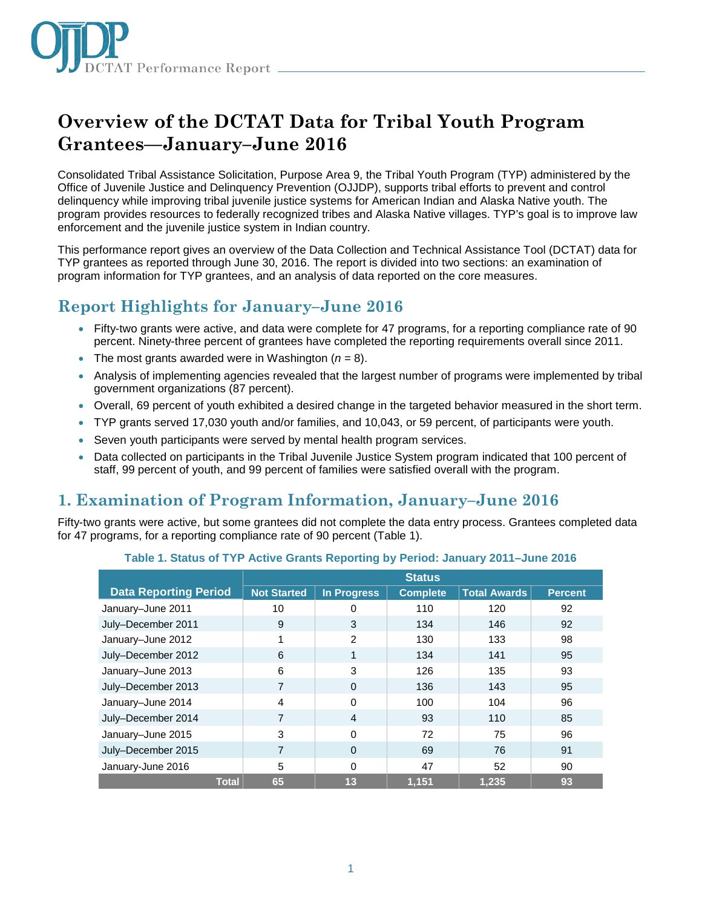

# **Overview of the DCTAT Data for Tribal Youth Program Grantees—January–June 2016**

Consolidated Tribal Assistance Solicitation, Purpose Area 9, the Tribal Youth Program (TYP) administered by the Office of Juvenile Justice and Delinquency Prevention (OJJDP), supports tribal efforts to prevent and control delinquency while improving tribal juvenile justice systems for American Indian and Alaska Native youth. The program provides resources to federally recognized tribes and Alaska Native villages. TYP's goal is to improve law enforcement and the juvenile justice system in Indian country.

This performance report gives an overview of the Data Collection and Technical Assistance Tool (DCTAT) data for TYP grantees as reported through June 30, 2016. The report is divided into two sections: an examination of program information for TYP grantees, and an analysis of data reported on the core measures.

### **Report Highlights for January–June 2016**

- Fifty-two grants were active, and data were complete for 47 programs, for a reporting compliance rate of 90 percent. Ninety-three percent of grantees have completed the reporting requirements overall since 2011.
- The most grants awarded were in Washington  $(n = 8)$ .
- Analysis of implementing agencies revealed that the largest number of programs were implemented by tribal government organizations (87 percent).
- Overall, 69 percent of youth exhibited a desired change in the targeted behavior measured in the short term.
- TYP grants served 17,030 youth and/or families, and 10,043, or 59 percent, of participants were youth.
- Seven youth participants were served by mental health program services.
- Data collected on participants in the Tribal Juvenile Justice System program indicated that 100 percent of staff, 99 percent of youth, and 99 percent of families were satisfied overall with the program.

## **1. Examination of Program Information, January–June 2016**

Fifty-two grants were active, but some grantees did not complete the data entry process. Grantees completed data for 47 programs, for a reporting compliance rate of 90 percent (Table 1).

|                              | <b>Status</b>      |                |                 |                     |                |
|------------------------------|--------------------|----------------|-----------------|---------------------|----------------|
| <b>Data Reporting Period</b> | <b>Not Started</b> | In Progress    | <b>Complete</b> | <b>Total Awards</b> | <b>Percent</b> |
| January-June 2011            | 10                 | 0              | 110             | 120                 | 92             |
| July-December 2011           | 9                  | 3              | 134             | 146                 | 92             |
| January-June 2012            | 1                  | $\mathfrak{p}$ | 130             | 133                 | 98             |
| July-December 2012           | 6                  | 1              | 134             | 141                 | 95             |
| January-June 2013            | 6                  | 3              | 126             | 135                 | 93             |
| July-December 2013           | $\overline{7}$     | $\Omega$       | 136             | 143                 | 95             |
| January-June 2014            | 4                  | $\Omega$       | 100             | 104                 | 96             |
| July-December 2014           | $\overline{7}$     | $\overline{4}$ | 93              | 110                 | 85             |
| January-June 2015            | 3                  | $\Omega$       | 72              | 75                  | 96             |
| July-December 2015           | 7                  | $\Omega$       | 69              | 76                  | 91             |
| January-June 2016            | 5                  | $\Omega$       | 47              | 52                  | 90             |
| <b>Total</b>                 | 65                 | 13             | 1,151           | 1,235               | 93             |

#### **Table 1. Status of TYP Active Grants Reporting by Period: January 2011–June 2016**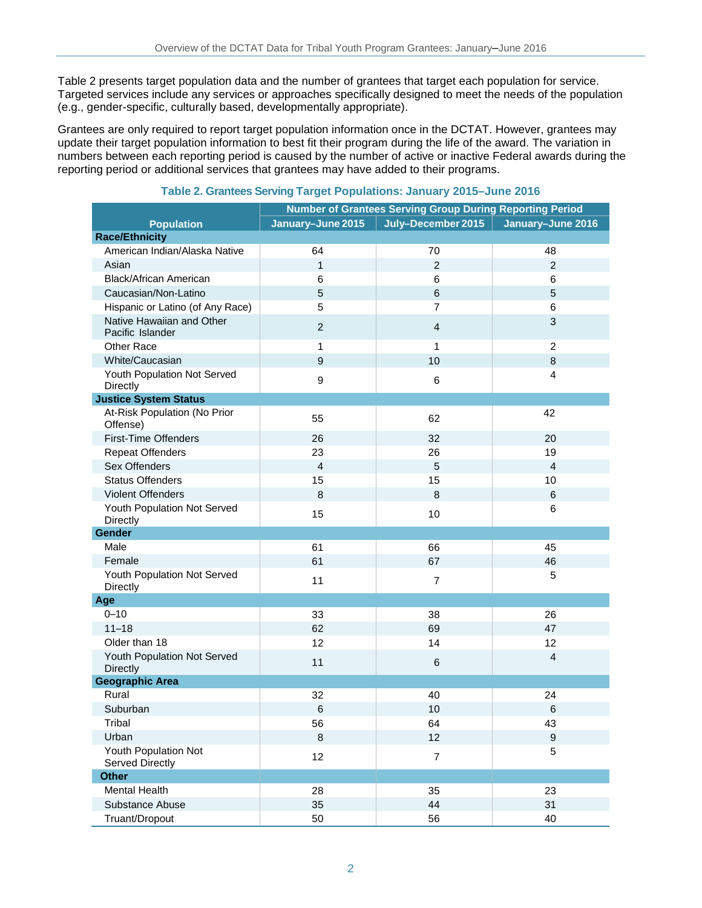Table 2 presents target population data and the number of grantees that target each population for service. Targeted services include any services or approaches specifically designed to meet the needs of the population (e.g., gender-specific, culturally based, developmentally appropriate).

Grantees are only required to report target population information once in the DCTAT. However, grantees may update their target population information to best fit their program during the life of the award. The variation in numbers between each reporting period is caused by the number of active or inactive Federal awards during the reporting period or additional services that grantees may have added to their programs.

|                                               | Number of Grantees Serving Group During Reporting Period |                    |                   |  |
|-----------------------------------------------|----------------------------------------------------------|--------------------|-------------------|--|
| <b>Population</b>                             | January-June 2015                                        | July-December 2015 | January-June 2016 |  |
| <b>Race/Ethnicity</b>                         |                                                          |                    |                   |  |
| American Indian/Alaska Native                 | 64                                                       | 70                 | 48                |  |
| Asian                                         | $\mathbf{1}$                                             | $\overline{2}$     | $\overline{2}$    |  |
| Black/African American                        | 6                                                        | 6                  | 6                 |  |
| Caucasian/Non-Latino                          | 5                                                        | $6\phantom{a}$     | 5                 |  |
| Hispanic or Latino (of Any Race)              | 5                                                        | $\overline{7}$     | 6                 |  |
| Native Hawaiian and Other<br>Pacific Islander | $\overline{2}$                                           | $\overline{4}$     | 3                 |  |
| Other Race                                    | $\mathbf{1}$                                             | 1                  | $\overline{2}$    |  |
| White/Caucasian                               | 9                                                        | 10                 | 8                 |  |
| Youth Population Not Served<br>Directly       | $\boldsymbol{9}$                                         | 6                  | $\overline{4}$    |  |
| <b>Justice System Status</b>                  |                                                          |                    |                   |  |
| At-Risk Population (No Prior<br>Offense)      | 55                                                       | 62                 | 42                |  |
| <b>First-Time Offenders</b>                   | 26                                                       | 32                 | 20                |  |
| <b>Repeat Offenders</b>                       | 23                                                       | 26                 | 19                |  |
| Sex Offenders                                 | $\overline{4}$                                           | 5                  | $\overline{4}$    |  |
| <b>Status Offenders</b>                       | 15                                                       | 15                 | 10                |  |
| <b>Violent Offenders</b>                      | 8                                                        | 8                  | 6                 |  |
| Youth Population Not Served<br>Directly       | 15                                                       | 10                 | 6                 |  |
| Gender                                        |                                                          |                    |                   |  |
| Male                                          | 61                                                       | 66                 | 45                |  |
| Female                                        | 61                                                       | 67                 | 46                |  |
| Youth Population Not Served<br>Directly       | 11                                                       | $\overline{7}$     | 5                 |  |
| Age                                           |                                                          |                    |                   |  |
| $0 - 10$                                      | 33                                                       | 38                 | 26                |  |
| $11 - 18$                                     | 62                                                       | 69                 | 47                |  |
| Older than 18                                 | 12                                                       | 14                 | 12                |  |
| Youth Population Not Served<br>Directly       | 11                                                       | 6                  | $\overline{4}$    |  |
| <b>Geographic Area</b>                        |                                                          |                    |                   |  |
| Rural                                         | 32                                                       | 40                 | 24                |  |
| Suburban                                      | $6\phantom{1}6$                                          | 10                 | $6\phantom{1}6$   |  |
| Tribal                                        | 56                                                       | 64                 | 43                |  |
| Urban                                         | $\,8\,$                                                  | 12                 | $\overline{9}$    |  |
| Youth Population Not<br>Served Directly       | 12                                                       | $\overline{7}$     | 5                 |  |
| <b>Other</b>                                  |                                                          |                    |                   |  |
| <b>Mental Health</b>                          | 28                                                       | 35                 | 23                |  |
| Substance Abuse                               | 35                                                       | 44                 | 31                |  |
| Truant/Dropout                                | 50                                                       | 56                 | 40                |  |

### **Table 2. Grantees Serving Target Populations: January 2015–June 2016**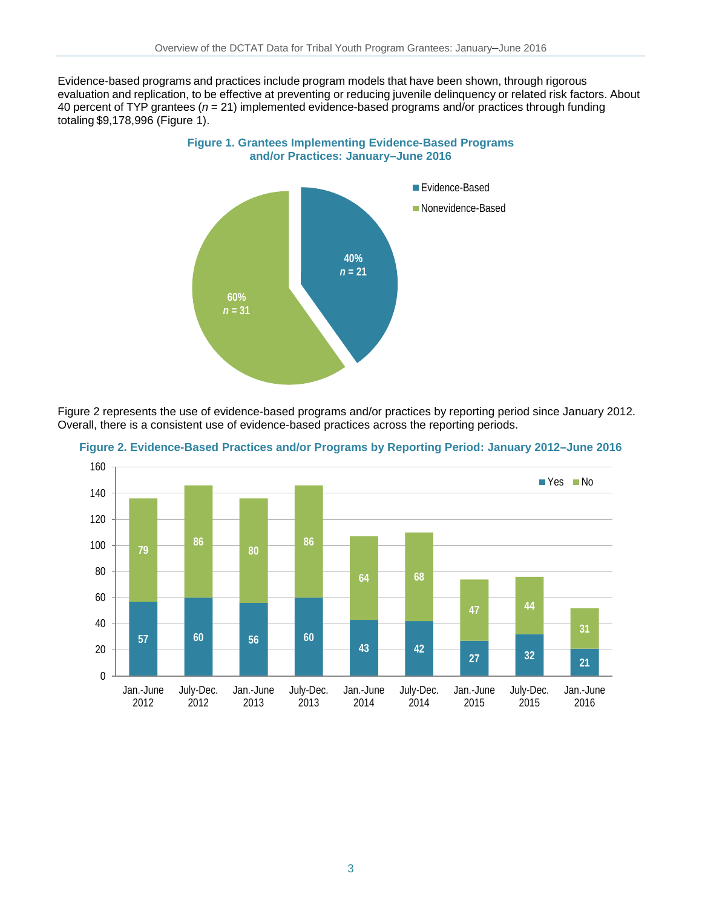Evidence-based programs and practices include program models that have been shown, through rigorous evaluation and replication, to be effective at preventing or reducing juvenile delinquency or related risk factors. About 40 percent of TYP grantees (*n* = 21) implemented evidence-based programs and/or practices through funding totaling \$9,178,996 (Figure 1).

**Figure 1. Grantees Implementing Evidence-Based Programs** 



Figure 2 represents the use of evidence-based programs and/or practices by reporting period since January 2012. Overall, there is a consistent use of evidence-based practices across the reporting periods.



**Figure 2. Evidence-Based Practices and/or Programs by Reporting Period: January 2012–June 2016**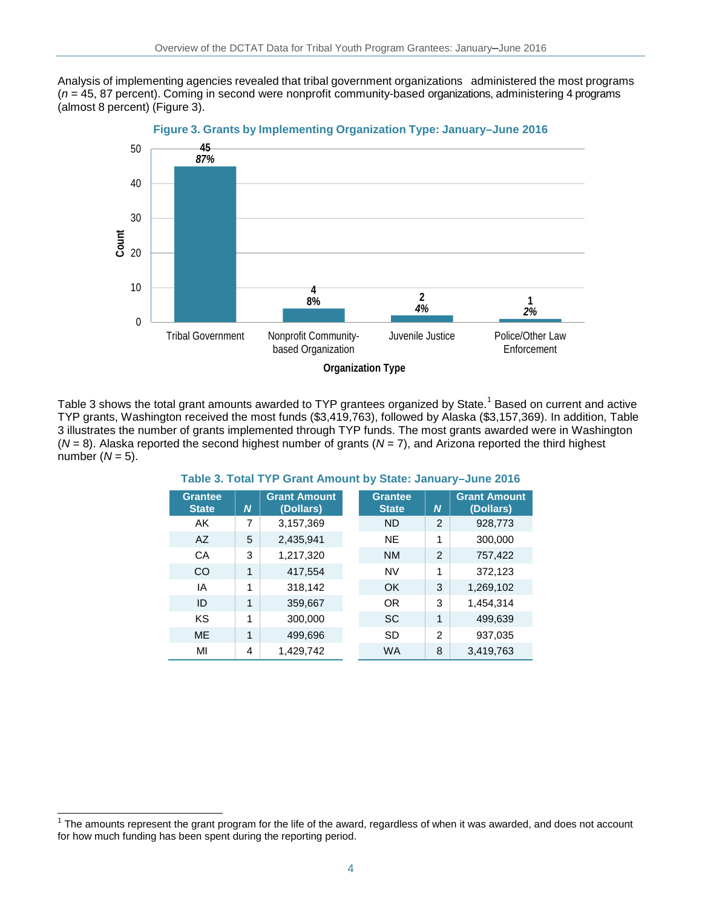Analysis of implementing agencies revealed that tribal government organizations administered the most programs (*n* = 45, 87 percent). Coming in second were nonprofit community-based organizations, administering 4 programs (almost 8 percent) (Figure 3).



**Figure 3. Grants by Implementing Organization Type: January–June 2016**

Table 3 shows the total grant amounts awarded to TYP grantees organized by State.<sup>1</sup> Based on current and active TYP grants, Washington received the most funds (\$3,419,763), followed by Alaska (\$3,157,369). In addition, Table 3 illustrates the number of grants implemented through TYP funds. The most grants awarded were in Washington (*N* = 8). Alaska reported the second highest number of grants (*N* = 7), and Arizona reported the third highest number  $(N = 5)$ .

#### **Grantee State** *N* **Grant Amount (Dollars) Grantee State** *N* **Grant Amount (Dollars)** AK 7 3,157,369 ND 2 928,773 AZ | 5 | 2,435,941 NE | 1 | 300,000 CA 3 1,217,320 NM 2 757,422  $CO$  1 417,554 NV 1 372,123 IA | 1 318,142 OK | 3 1,269,102 ID | 1 359,667 OR | 3 1,454,314 KS | 1 300,000 SC | 1 499,639 ME | 1 | 499,696 SD | 2 | 937,035 MI 4 1,429,742 WA 8 3,419,763

#### **Table 3. Total TYP Grant Amount by State: January–June 2016**

j

The amounts represent the grant program for the life of the award, regardless of when it was awarded, and does not account for how much funding has been spent during the reporting period.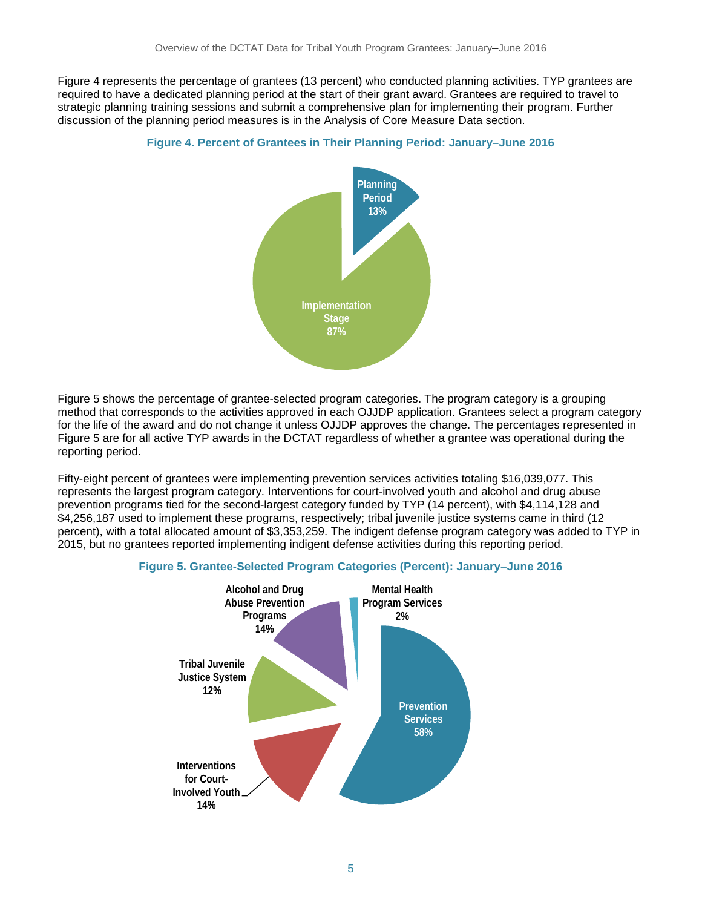Figure 4 represents the percentage of grantees (13 percent) who conducted planning activities. TYP grantees are required to have a dedicated planning period at the start of their grant award. Grantees are required to travel to strategic planning training sessions and submit a comprehensive plan for implementing their program. Further discussion of the planning period measures is in the Analysis of Core Measure Data section.



#### **Figure 4. Percent of Grantees in Their Planning Period: January–June 2016**

Figure 5 shows the percentage of grantee-selected program categories. The program category is a grouping method that corresponds to the activities approved in each OJJDP application. Grantees select a program category for the life of the award and do not change it unless OJJDP approves the change. The percentages represented in Figure 5 are for all active TYP awards in the DCTAT regardless of whether a grantee was operational during the reporting period.

Fifty-eight percent of grantees were implementing prevention services activities totaling \$16,039,077. This represents the largest program category. Interventions for court-involved youth and alcohol and drug abuse prevention programs tied for the second-largest category funded by TYP (14 percent), with \$4,114,128 and \$4,256,187 used to implement these programs, respectively; tribal juvenile justice systems came in third (12 percent), with a total allocated amount of \$3,353,259. The indigent defense program category was added to TYP in 2015, but no grantees reported implementing indigent defense activities during this reporting period.



#### **Figure 5. Grantee-Selected Program Categories (Percent): January–June 2016**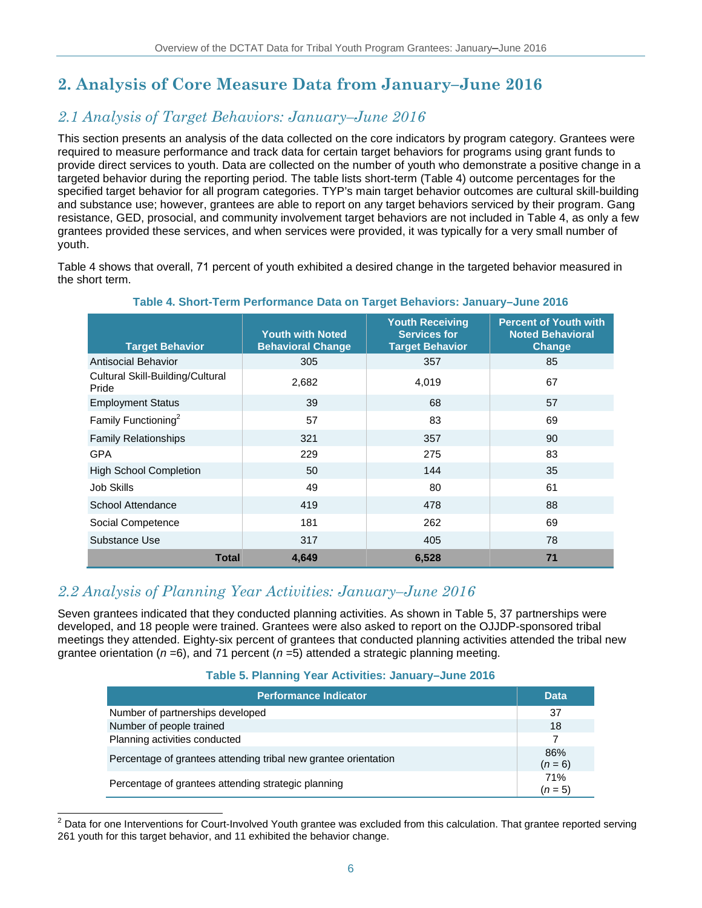## **2. Analysis of Core Measure Data from January–June 2016**

### *2.1 Analysis of Target Behaviors: January–June 2016*

This section presents an analysis of the data collected on the core indicators by program category. Grantees were required to measure performance and track data for certain target behaviors for programs using grant funds to provide direct services to youth. Data are collected on the number of youth who demonstrate a positive change in a targeted behavior during the reporting period. The table lists short-term (Table 4) outcome percentages for the specified target behavior for all program categories. TYP's main target behavior outcomes are cultural skill-building and substance use; however, grantees are able to report on any target behaviors serviced by their program. Gang resistance, GED, prosocial, and community involvement target behaviors are not included in Table 4, as only a few grantees provided these services, and when services were provided, it was typically for a very small number of youth.

Table 4 shows that overall, 71 percent of youth exhibited a desired change in the targeted behavior measured in the short term.

| <b>Target Behavior</b>                    | <b>Youth with Noted</b><br><b>Behavioral Change</b> | <b>Youth Receiving</b><br><b>Services for</b><br><b>Target Behavior</b> | <b>Percent of Youth with</b><br><b>Noted Behavioral</b><br>Change |
|-------------------------------------------|-----------------------------------------------------|-------------------------------------------------------------------------|-------------------------------------------------------------------|
| <b>Antisocial Behavior</b>                | 305                                                 | 357                                                                     | 85                                                                |
| Cultural Skill-Building/Cultural<br>Pride | 2,682                                               | 4,019                                                                   | 67                                                                |
| <b>Employment Status</b>                  | 39                                                  | 68                                                                      | 57                                                                |
| Family Functioning <sup>2</sup>           | 57                                                  | 83                                                                      | 69                                                                |
| <b>Family Relationships</b>               | 321                                                 | 357                                                                     | 90                                                                |
| <b>GPA</b>                                | 229                                                 | 275                                                                     | 83                                                                |
| <b>High School Completion</b>             | 50                                                  | 144                                                                     | 35                                                                |
| Job Skills                                | 49                                                  | 80                                                                      | 61                                                                |
| School Attendance                         | 419                                                 | 478                                                                     | 88                                                                |
| Social Competence                         | 181                                                 | 262                                                                     | 69                                                                |
| Substance Use                             | 317                                                 | 405                                                                     | 78                                                                |
| <b>Total</b>                              | 4,649                                               | 6,528                                                                   | 71                                                                |

**Table 4. Short-Term Performance Data on Target Behaviors: January–June 2016**

### *2.2 Analysis of Planning Year Activities: January–June 2016*

Seven grantees indicated that they conducted planning activities. As shown in Table 5, 37 partnerships were developed, and 18 people were trained. Grantees were also asked to report on the OJJDP-sponsored tribal meetings they attended. Eighty-six percent of grantees that conducted planning activities attended the tribal new grantee orientation ( $n=6$ ), and 71 percent ( $n=5$ ) attended a strategic planning meeting.

#### **Table 5. Planning Year Activities: January–June 2016**

| Performance Indicator <sup>'</sup>                              | <b>Data</b>      |
|-----------------------------------------------------------------|------------------|
| Number of partnerships developed                                | 37               |
| Number of people trained                                        | 18               |
| Planning activities conducted                                   | 7                |
| Percentage of grantees attending tribal new grantee orientation | 86%<br>$(n = 6)$ |
| Percentage of grantees attending strategic planning             | 71%<br>$(n=5)$   |

<sup>2</sup> Data for one Interventions for Court-Involved Youth grantee was excluded from this calculation. That grantee reported serving 261 youth for this target behavior, and 11 exhibited the behavior change.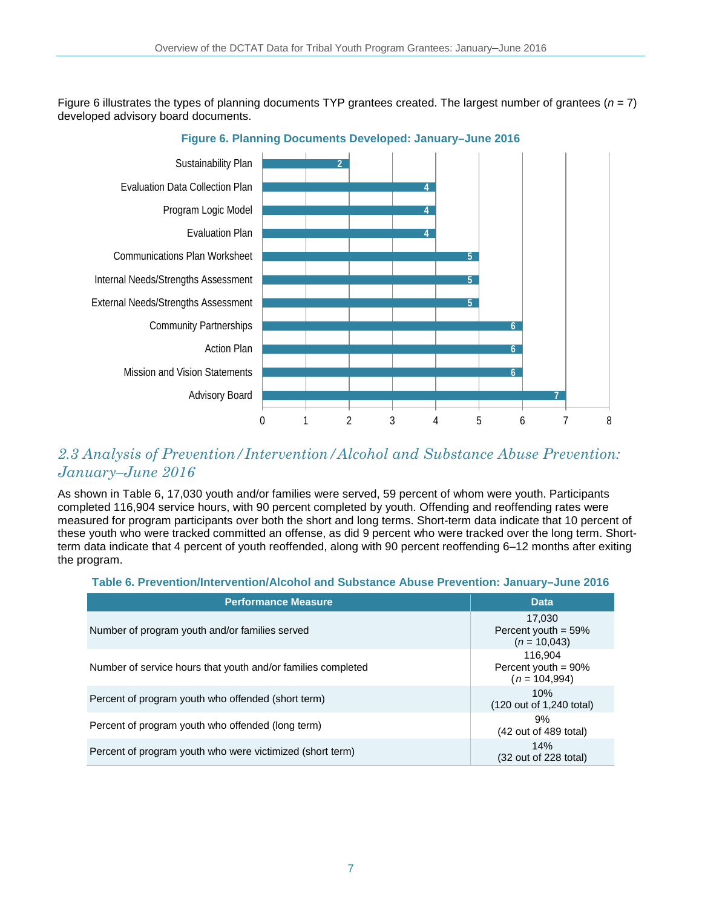Figure 6 illustrates the types of planning documents TYP grantees created. The largest number of grantees (*n* = 7) developed advisory board documents.



**Figure 6. Planning Documents Developed: January–June 2016**

### *2.3 Analysis of Prevention/Intervention/Alcohol and Substance Abuse Prevention: January–June 2016*

As shown in Table 6, 17,030 youth and/or families were served, 59 percent of whom were youth. Participants completed 116,904 service hours, with 90 percent completed by youth. Offending and reoffending rates were measured for program participants over both the short and long terms. Short-term data indicate that 10 percent of these youth who were tracked committed an offense, as did 9 percent who were tracked over the long term. Shortterm data indicate that 4 percent of youth reoffended, along with 90 percent reoffending 6–12 months after exiting the program.

#### **Table 6. Prevention/Intervention/Alcohol and Substance Abuse Prevention: January–June 2016**

| <b>Performance Measure</b>                                   | <b>Data</b>                                           |
|--------------------------------------------------------------|-------------------------------------------------------|
| Number of program youth and/or families served               | 17.030<br>Percent youth $= 59\%$<br>$(n = 10,043)$    |
| Number of service hours that youth and/or families completed | 116.904<br>Percent youth = $90\%$<br>$(n = 104, 994)$ |
| Percent of program youth who offended (short term)           | 10%<br>(120 out of 1,240 total)                       |
| Percent of program youth who offended (long term)            | 9%<br>$(42$ out of 489 total)                         |
| Percent of program youth who were victimized (short term)    | 14%<br>$(32 \text{ out of } 228 \text{ total})$       |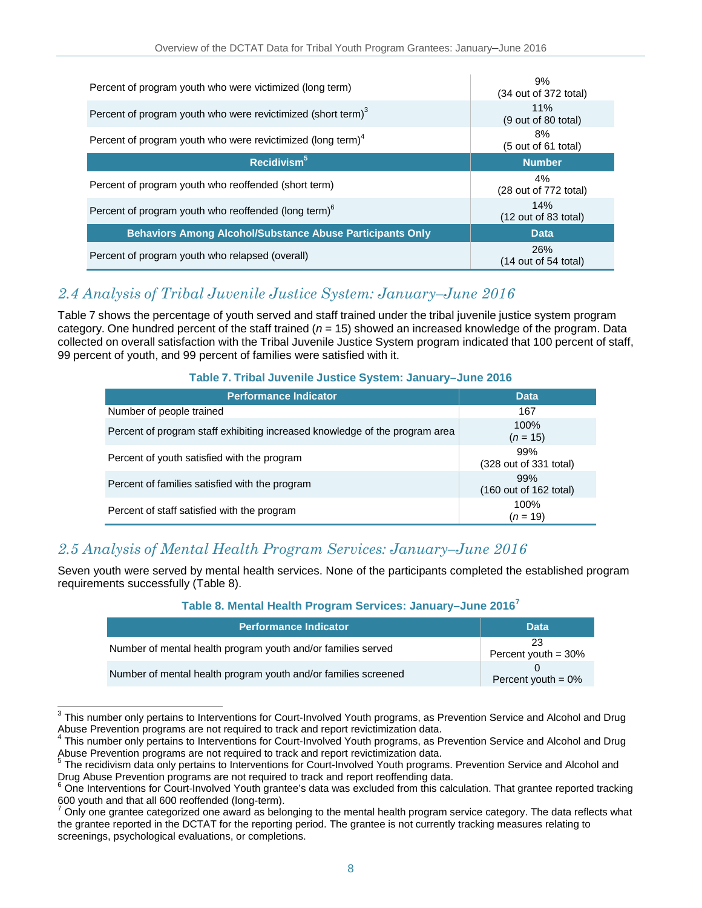| Percent of program youth who were victimized (long term)                | 9%<br>(34 out of 372 total)                    |
|-------------------------------------------------------------------------|------------------------------------------------|
| Percent of program youth who were revictimized (short term) $3$         | 11%<br>(9 out of 80 total)                     |
| Percent of program youth who were revictimized (long term) <sup>4</sup> | 8%<br>(5 out of 61 total)                      |
| Recidivism <sup>5</sup>                                                 | <b>Number</b>                                  |
|                                                                         |                                                |
| Percent of program youth who reoffended (short term)                    | 4%<br>(28 out of 772 total)                    |
| Percent of program youth who reoffended (long term) <sup>6</sup>        | 14%<br>$(12 \text{ out of } 83 \text{ total})$ |
| <b>Behaviors Among Alcohol/Substance Abuse Participants Only</b>        | <b>Data</b>                                    |

### *2.4 Analysis of Tribal Juvenile Justice System: January–June 2016*

Table 7 shows the percentage of youth served and staff trained under the tribal juvenile justice system program category. One hundred percent of the staff trained (*n* = 15) showed an increased knowledge of the program. Data collected on overall satisfaction with the Tribal Juvenile Justice System program indicated that 100 percent of staff, 99 percent of youth, and 99 percent of families were satisfied with it.

### **Table 7. Tribal Juvenile Justice System: January–June 2016**

| <b>Performance Indicator</b>                                                | <b>Data</b>                                      |
|-----------------------------------------------------------------------------|--------------------------------------------------|
| Number of people trained                                                    | 167                                              |
| Percent of program staff exhibiting increased knowledge of the program area | 100%<br>$(n = 15)$                               |
| Percent of youth satisfied with the program                                 | 99%<br>(328 out of 331 total)                    |
| Percent of families satisfied with the program                              | 99%<br>$(160 \text{ out of } 162 \text{ total})$ |
| Percent of staff satisfied with the program                                 | 100%<br>$(n = 19)$                               |

### *2.5 Analysis of Mental Health Program Services: January–June 2016*

Seven youth were served by mental health services. None of the participants completed the established program requirements successfully (Table 8).

| Table 8. Mental Health Program Services: January-June 2016 <sup>7</sup> |  |  |  |  |  |
|-------------------------------------------------------------------------|--|--|--|--|--|
|-------------------------------------------------------------------------|--|--|--|--|--|

| <b>Performance Indicator</b>                                   | <b>Data</b>                  |
|----------------------------------------------------------------|------------------------------|
| Number of mental health program youth and/or families served   | 23<br>Percent youth = $30\%$ |
| Number of mental health program youth and/or families screened | Percent youth = $0\%$        |

 $\overline{a}$  $^3$  This number only pertains to Interventions for Court-Involved Youth programs, as Prevention Service and Alcohol and Drug Abuse Prevention programs are not required to track and report revictimization data.

<sup>4</sup> This number only pertains to Interventions for Court-Involved Youth programs, as Prevention Service and Alcohol and Drug Abuse Prevention programs are not required to track and report revictimization data.

<sup>5</sup> The recidivism data only pertains to Interventions for Court-Involved Youth programs. Prevention Service and Alcohol and Drug Abuse Prevention programs are not required to track and report reoffending data.

 $6$  One Interventions for Court-Involved Youth grantee's data was excluded from this calculation. That grantee reported tracking 600 youth and that all 600 reoffended (long-term).

Only one grantee categorized one award as belonging to the mental health program service category. The data reflects what the grantee reported in the DCTAT for the reporting period. The grantee is not currently tracking measures relating to screenings, psychological evaluations, or completions.